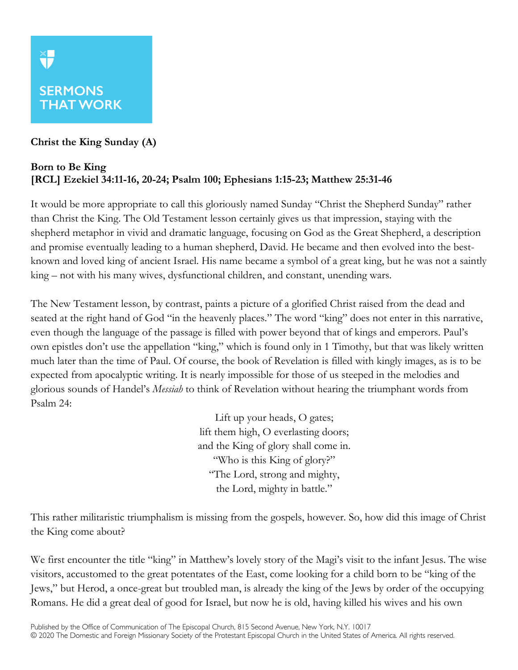## **SERMONS THAT WORK**

X<mark>I</mark>

## **Christ the King Sunday (A)**

## **Born to Be King [RCL] Ezekiel 34:11-16, 20-24; Psalm 100; Ephesians 1:15-23; Matthew 25:31-46**

It would be more appropriate to call this gloriously named Sunday "Christ the Shepherd Sunday" rather than Christ the King. The Old Testament lesson certainly gives us that impression, staying with the shepherd metaphor in vivid and dramatic language, focusing on God as the Great Shepherd, a description and promise eventually leading to a human shepherd, David. He became and then evolved into the bestknown and loved king of ancient Israel. His name became a symbol of a great king, but he was not a saintly king – not with his many wives, dysfunctional children, and constant, unending wars.

The New Testament lesson, by contrast, paints a picture of a glorified Christ raised from the dead and seated at the right hand of God "in the heavenly places." The word "king" does not enter in this narrative, even though the language of the passage is filled with power beyond that of kings and emperors. Paul's own epistles don't use the appellation "king," which is found only in 1 Timothy, but that was likely written much later than the time of Paul. Of course, the book of Revelation is filled with kingly images, as is to be expected from apocalyptic writing. It is nearly impossible for those of us steeped in the melodies and glorious sounds of Handel's *Messiah* to think of Revelation without hearing the triumphant words from Psalm 24:

> Lift up your heads, O gates; lift them high, O everlasting doors; and the King of glory shall come in. "Who is this King of glory?" "The Lord, strong and mighty, the Lord, mighty in battle."

This rather militaristic triumphalism is missing from the gospels, however. So, how did this image of Christ the King come about?

We first encounter the title "king" in Matthew's lovely story of the Magi's visit to the infant Jesus. The wise visitors, accustomed to the great potentates of the East, come looking for a child born to be "king of the Jews," but Herod, a once-great but troubled man, is already the king of the Jews by order of the occupying Romans. He did a great deal of good for Israel, but now he is old, having killed his wives and his own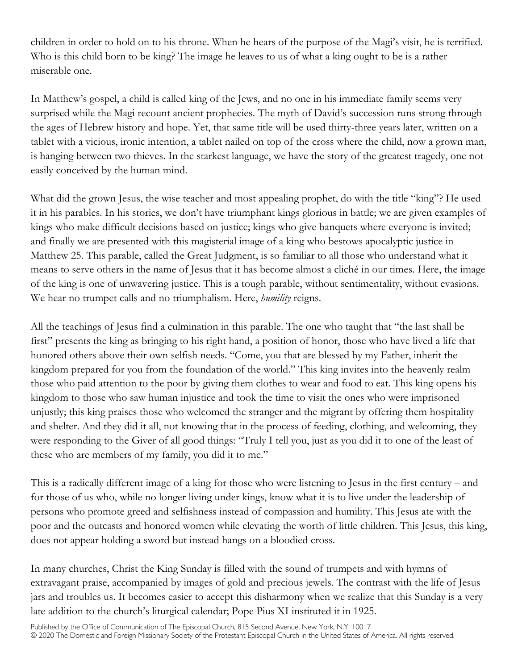children in order to hold on to his throne. When he hears of the purpose of the Magi's visit, he is terrified. Who is this child born to be king? The image he leaves to us of what a king ought to be is a rather miserable one.

In Matthew's gospel, a child is called king of the Jews, and no one in his immediate family seems very surprised while the Magi recount ancient prophecies. The myth of David's succession runs strong through the ages of Hebrew history and hope. Yet, that same title will be used thirty-three years later, written on a tablet with a vicious, ironic intention, a tablet nailed on top of the cross where the child, now a grown man, is hanging between two thieves. In the starkest language, we have the story of the greatest tragedy, one not easily conceived by the human mind.

What did the grown Jesus, the wise teacher and most appealing prophet, do with the title "king"? He used it in his parables. In his stories, we don't have triumphant kings glorious in battle; we are given examples of kings who make difficult decisions based on justice; kings who give banquets where everyone is invited; and finally we are presented with this magisterial image of a king who bestows apocalyptic justice in Matthew 25. This parable, called the Great Judgment, is so familiar to all those who understand what it means to serve others in the name of Jesus that it has become almost a cliché in our times. Here, the image of the king is one of unwavering justice. This is a tough parable, without sentimentality, without evasions. We hear no trumpet calls and no triumphalism. Here, *humility* reigns.

All the teachings of Jesus find a culmination in this parable. The one who taught that "the last shall be first" presents the king as bringing to his right hand, a position of honor, those who have lived a life that honored others above their own selfish needs. "Come, you that are blessed by my Father, inherit the kingdom prepared for you from the foundation of the world." This king invites into the heavenly realm those who paid attention to the poor by giving them clothes to wear and food to eat. This king opens his kingdom to those who saw human injustice and took the time to visit the ones who were imprisoned unjustly; this king praises those who welcomed the stranger and the migrant by offering them hospitality and shelter. And they did it all, not knowing that in the process of feeding, clothing, and welcoming, they were responding to the Giver of all good things: "Truly I tell you, just as you did it to one of the least of these who are members of my family, you did it to me."

This is a radically different image of a king for those who were listening to Jesus in the first century – and for those of us who, while no longer living under kings, know what it is to live under the leadership of persons who promote greed and selfishness instead of compassion and humility. This Jesus ate with the poor and the outcasts and honored women while elevating the worth of little children. This Jesus, this king, does not appear holding a sword but instead hangs on a bloodied cross.

In many churches, Christ the King Sunday is filled with the sound of trumpets and with hymns of extravagant praise, accompanied by images of gold and precious jewels. The contrast with the life of Jesus jars and troubles us. It becomes easier to accept this disharmony when we realize that this Sunday is a very late addition to the church's liturgical calendar; Pope Pius XI instituted it in 1925.